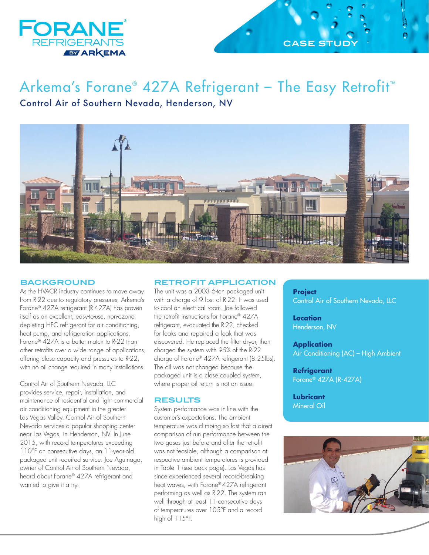

### **CASE STU**

# Arkema's Forane® 427A Refrigerant – The Easy Retrofit™ Control Air of Southern Nevada, Henderson, NV



#### **BACKGROUND**

As the HVACR industry continues to move away from R-22 due to regulatory pressures, Arkema's Forane® 427A refrigerant (R-427A) has proven itself as an excellent, easy-to-use, non-ozone depleting HFC refrigerant for air conditioning, heat pump, and refrigeration applications. Forane® 427A is a better match to R-22 than other retrofits over a wide range of applications, offering close capacity and pressures to R-22, with no oil change required in many installations.

Control Air of Southern Nevada, LLC provides service, repair, installation, and maintenance of residential and light commercial air conditioning equipment in the greater Las Vegas Valley. Control Air of Southern Nevada services a popular shopping center near Las Vegas, in Henderson, NV. In June 2015, with record temperatures exceeding 110°F on consecutive days, an 11-year-old packaged unit required service. Joe Aguinaga, owner of Control Air of Southern Nevada, heard about Forane® 427A refrigerant and wanted to give it a try.

#### **RETROFIT APPLICATION**

The unit was a 2003 6-ton packaged unit with a charge of 9 lbs. of R-22. It was used to cool an electrical room. Joe followed the retrofit instructions for Forane® 427A refrigerant, evacuated the R-22, checked for leaks and repaired a leak that was discovered. He replaced the filter dryer, then charged the system with 95% of the R-22 charge of Forane® 427A refrigerant (8.25lbs). The oil was not changed because the packaged unit is a close coupled system, where proper oil return is not an issue.

#### **RESULTS**

System performance was in-line with the customer's expectations. The ambient temperature was climbing so fast that a direct comparison of run performance between the two gases just before and after the retrofit was not feasible, although a comparison at respective ambient temperatures is provided in Table 1 (see back page). Las Vegas has since experienced several record-breaking heat waves, with Forane® 427A refrigerant performing as well as R-22. The system ran well through at least 11 consecutive days of temperatures over 105°F and a record high of 115°F.

**Project**  Control Air of Southern Nevada, LLC

**Location**  Henderson, NV

**Application**  Air Conditioning (AC) – High Ambient

**Refrigerant**  Forane® 427A (R-427A)

**Lubricant**  Mineral Oil